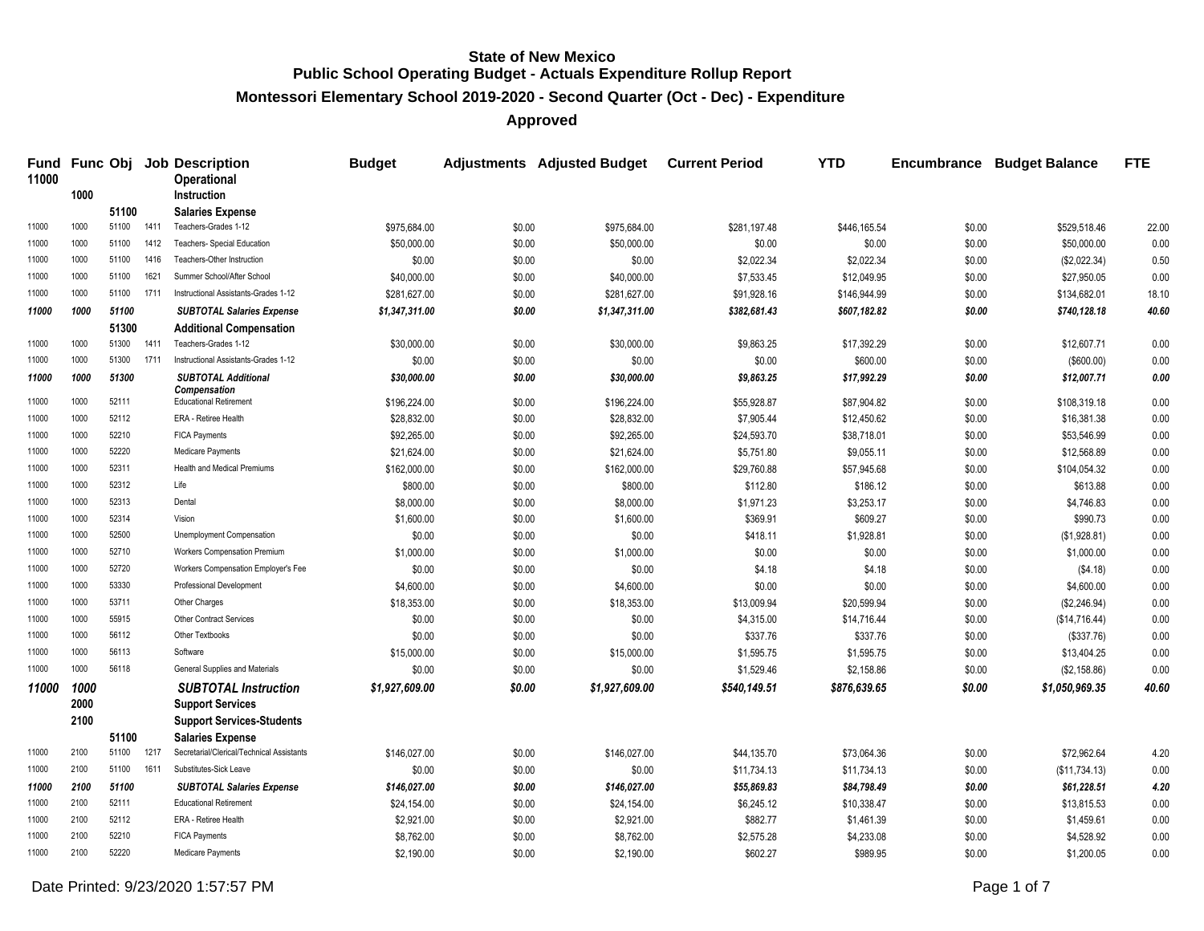**Montessori Elementary School 2019-2020 - Second Quarter (Oct - Dec) - Expenditure**

**Approved**

| 11000 |      |       |      | Fund Func Obj Job Description<br><b>Operational</b>  | <b>Budget</b>  |        | Adjustments Adjusted Budget Current Period |              | <b>YTD</b>   |        | <b>Encumbrance Budget Balance</b> | <b>FTE</b> |
|-------|------|-------|------|------------------------------------------------------|----------------|--------|--------------------------------------------|--------------|--------------|--------|-----------------------------------|------------|
|       | 1000 |       |      | <b>Instruction</b>                                   |                |        |                                            |              |              |        |                                   |            |
|       |      | 51100 |      | <b>Salaries Expense</b>                              |                |        |                                            |              |              |        |                                   |            |
| 11000 | 1000 | 51100 | 1411 | Teachers-Grades 1-12                                 | \$975,684.00   | \$0.00 | \$975,684.00                               | \$281,197.48 | \$446,165.54 | \$0.00 | \$529,518.46                      | 22.00      |
| 11000 | 1000 | 51100 | 1412 | Teachers- Special Education                          | \$50,000.00    | \$0.00 | \$50,000.00                                | \$0.00       | \$0.00       | \$0.00 | \$50,000.00                       | 0.00       |
| 11000 | 1000 | 51100 | 1416 | Teachers-Other Instruction                           | \$0.00         | \$0.00 | \$0.00                                     | \$2,022.34   | \$2,022.34   | \$0.00 | (\$2,022.34)                      | 0.50       |
| 11000 | 1000 | 51100 | 1621 | Summer School/After School                           | \$40,000.00    | \$0.00 | \$40,000.00                                | \$7,533.45   | \$12,049.95  | \$0.00 | \$27,950.05                       | 0.00       |
| 11000 | 1000 | 51100 | 1711 | Instructional Assistants-Grades 1-12                 | \$281,627.00   | \$0.00 | \$281,627.00                               | \$91,928.16  | \$146,944.99 | \$0.00 | \$134,682.01                      | 18.10      |
| 11000 | 1000 | 51100 |      | <b>SUBTOTAL Salaries Expense</b>                     | \$1,347,311.00 | \$0.00 | \$1,347,311.00                             | \$382,681.43 | \$607,182.82 | \$0.00 | \$740,128.18                      | 40.60      |
|       |      | 51300 |      | <b>Additional Compensation</b>                       |                |        |                                            |              |              |        |                                   |            |
| 11000 | 1000 | 51300 | 1411 | Teachers-Grades 1-12                                 | \$30,000.00    | \$0.00 | \$30,000.00                                | \$9,863.25   | \$17,392.29  | \$0.00 | \$12,607.71                       | 0.00       |
| 11000 | 1000 | 51300 | 1711 | Instructional Assistants-Grades 1-12                 | \$0.00         | \$0.00 | \$0.00                                     | \$0.00       | \$600.00     | \$0.00 | (\$600.00)                        | 0.00       |
| 11000 | 1000 | 51300 |      | <b>SUBTOTAL Additional</b>                           | \$30,000.00    | \$0.00 | \$30,000.00                                | \$9,863.25   | \$17,992.29  | \$0.00 | \$12,007.71                       | 0.00       |
| 11000 | 1000 | 52111 |      | <b>Compensation</b><br><b>Educational Retirement</b> | \$196,224.00   | \$0.00 | \$196,224.00                               | \$55,928.87  | \$87,904.82  | \$0.00 | \$108,319.18                      | 0.00       |
| 11000 | 1000 | 52112 |      | ERA - Retiree Health                                 | \$28,832.00    | \$0.00 | \$28,832.00                                | \$7,905.44   | \$12,450.62  | \$0.00 | \$16,381.38                       | 0.00       |
| 11000 | 1000 | 52210 |      | <b>FICA Payments</b>                                 | \$92,265.00    | \$0.00 | \$92,265.00                                | \$24,593.70  | \$38,718.01  | \$0.00 | \$53,546.99                       | 0.00       |
| 11000 | 1000 | 52220 |      | Medicare Payments                                    | \$21,624.00    | \$0.00 | \$21,624.00                                | \$5,751.80   | \$9,055.11   | \$0.00 | \$12,568.89                       | 0.00       |
| 11000 | 1000 | 52311 |      | Health and Medical Premiums                          | \$162,000.00   | \$0.00 | \$162,000.00                               | \$29,760.88  | \$57,945.68  | \$0.00 | \$104,054.32                      | 0.00       |
| 11000 | 1000 | 52312 |      | Life                                                 | \$800.00       | \$0.00 | \$800.00                                   | \$112.80     | \$186.12     | \$0.00 | \$613.88                          | 0.00       |
| 11000 | 1000 | 52313 |      | Dental                                               | \$8,000.00     | \$0.00 | \$8,000.00                                 | \$1,971.23   | \$3,253.17   | \$0.00 | \$4,746.83                        | 0.00       |
| 11000 | 1000 | 52314 |      | Vision                                               | \$1,600.00     | \$0.00 | \$1,600.00                                 | \$369.91     | \$609.27     | \$0.00 | \$990.73                          | 0.00       |
| 11000 | 1000 | 52500 |      | Unemployment Compensation                            | \$0.00         | \$0.00 | \$0.00                                     | \$418.11     | \$1,928.81   | \$0.00 | (\$1,928.81)                      | 0.00       |
| 11000 | 1000 | 52710 |      | Workers Compensation Premium                         | \$1,000.00     | \$0.00 | \$1,000.00                                 | \$0.00       | \$0.00       | \$0.00 | \$1,000.00                        | 0.00       |
| 11000 | 1000 | 52720 |      | Workers Compensation Employer's Fee                  | \$0.00         | \$0.00 | \$0.00                                     | \$4.18       | \$4.18       | \$0.00 | (\$4.18)                          | 0.00       |
| 11000 | 1000 | 53330 |      | Professional Development                             | \$4,600.00     | \$0.00 | \$4,600.00                                 | \$0.00       | \$0.00       | \$0.00 | \$4,600.00                        | 0.00       |
| 11000 | 1000 | 53711 |      | Other Charges                                        | \$18,353.00    | \$0.00 | \$18,353.00                                | \$13,009.94  | \$20,599.94  | \$0.00 | (\$2,246.94)                      | 0.00       |
| 11000 | 1000 | 55915 |      | Other Contract Services                              | \$0.00         | \$0.00 | \$0.00                                     | \$4,315.00   | \$14,716.44  | \$0.00 | (\$14,716.44)                     | 0.00       |
| 11000 | 1000 | 56112 |      | Other Textbooks                                      | \$0.00         | \$0.00 | \$0.00                                     | \$337.76     | \$337.76     | \$0.00 | (\$337.76)                        | 0.00       |
| 11000 | 1000 | 56113 |      | Software                                             | \$15,000.00    | \$0.00 | \$15,000.00                                | \$1,595.75   | \$1,595.75   | \$0.00 | \$13,404.25                       | 0.00       |
| 11000 | 1000 | 56118 |      | General Supplies and Materials                       | \$0.00         | \$0.00 | \$0.00                                     | \$1,529.46   | \$2,158.86   | \$0.00 | (\$2,158.86)                      | 0.00       |
| 11000 | 1000 |       |      | <b>SUBTOTAL Instruction</b>                          | \$1,927,609.00 | \$0.00 | \$1,927,609.00                             | \$540,149.51 | \$876,639.65 | \$0.00 | \$1,050,969.35                    | 40.60      |
|       | 2000 |       |      | <b>Support Services</b>                              |                |        |                                            |              |              |        |                                   |            |
|       | 2100 |       |      | <b>Support Services-Students</b>                     |                |        |                                            |              |              |        |                                   |            |
|       |      | 51100 |      | <b>Salaries Expense</b>                              |                |        |                                            |              |              |        |                                   |            |
| 11000 | 2100 | 51100 | 1217 | Secretarial/Clerical/Technical Assistants            | \$146,027.00   | \$0.00 | \$146,027.00                               | \$44,135.70  | \$73,064.36  | \$0.00 | \$72,962.64                       | 4.20       |
| 11000 | 2100 | 51100 | 1611 | Substitutes-Sick Leave                               | \$0.00         | \$0.00 | \$0.00                                     | \$11,734.13  | \$11,734.13  | \$0.00 | (\$11,734.13)                     | 0.00       |
| 11000 | 2100 | 51100 |      | <b>SUBTOTAL Salaries Expense</b>                     | \$146,027.00   | \$0.00 | \$146,027.00                               | \$55,869.83  | \$84,798.49  | \$0.00 | \$61,228.51                       | 4.20       |
| 11000 | 2100 | 52111 |      | <b>Educational Retirement</b>                        | \$24,154.00    | \$0.00 | \$24,154.00                                | \$6,245.12   | \$10,338.47  | \$0.00 | \$13,815.53                       | 0.00       |
| 11000 | 2100 | 52112 |      | ERA - Retiree Health                                 | \$2,921.00     | \$0.00 | \$2,921.00                                 | \$882.77     | \$1,461.39   | \$0.00 | \$1,459.61                        | 0.00       |
| 11000 | 2100 | 52210 |      | <b>FICA Payments</b>                                 | \$8,762.00     | \$0.00 | \$8,762.00                                 | \$2,575.28   | \$4,233.08   | \$0.00 | \$4,528.92                        | 0.00       |
| 11000 | 2100 | 52220 |      | Medicare Payments                                    | \$2,190.00     | \$0.00 | \$2,190.00                                 | \$602.27     | \$989.95     | \$0.00 | \$1,200.05                        | 0.00       |

Date Printed: 9/23/2020 1:57:57 PM Page 1 of 7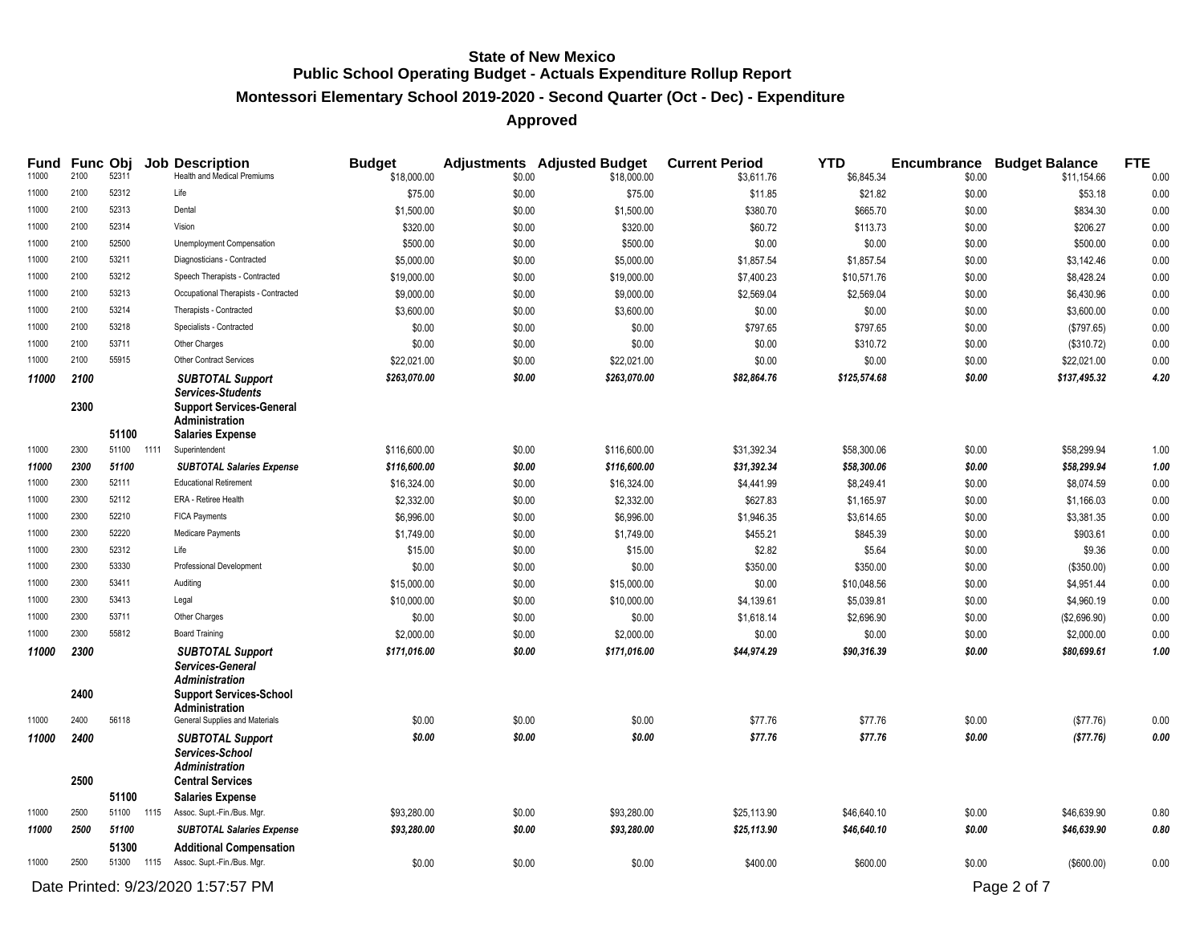#### **Montessori Elementary School 2019-2020 - Second Quarter (Oct - Dec) - Expenditure**

| <b>Fund</b>    | Func Obj             |                |      | <b>Job Description</b>                                                                                                                              | <b>Budget</b>          |                  | <b>Adjustments</b> Adjusted Budget | <b>Current Period</b>  | <b>YTD</b>             |                  | <b>Encumbrance Budget Balance</b> | <b>FTE</b>   |
|----------------|----------------------|----------------|------|-----------------------------------------------------------------------------------------------------------------------------------------------------|------------------------|------------------|------------------------------------|------------------------|------------------------|------------------|-----------------------------------|--------------|
| 11000          | 2100                 | 52311          |      | Health and Medical Premiums                                                                                                                         | \$18,000.00            | \$0.00           | \$18,000.00                        | \$3,611.76             | \$6,845.34             | \$0.00           | \$11,154.66                       | 0.00         |
| 11000          | 2100                 | 52312          |      | Life                                                                                                                                                | \$75.00                | \$0.00           | \$75.00                            | \$11.85                | \$21.82                | \$0.00           | \$53.18                           | 0.00         |
| 11000          | 2100                 | 52313          |      | Dental                                                                                                                                              | \$1,500.00             | \$0.00           | \$1,500.00                         | \$380.70               | \$665.70               | \$0.00           | \$834.30                          | 0.00         |
| 11000          | 2100                 | 52314          |      | Vision                                                                                                                                              | \$320.00               | \$0.00           | \$320.00                           | \$60.72                | \$113.73               | \$0.00           | \$206.27                          | 0.00         |
| 11000          | 2100                 | 52500          |      | Unemployment Compensation                                                                                                                           | \$500.00               | \$0.00           | \$500.00                           | \$0.00                 | \$0.00                 | \$0.00           | \$500.00                          | 0.00         |
| 11000          | 2100                 | 53211          |      | Diagnosticians - Contracted                                                                                                                         | \$5,000.00             | \$0.00           | \$5,000.00                         | \$1,857.54             | \$1,857.54             | \$0.00           | \$3,142.46                        | 0.00         |
| 11000          | 2100                 | 53212          |      | Speech Therapists - Contracted                                                                                                                      | \$19,000.00            | \$0.00           | \$19,000.00                        | \$7,400.23             | \$10,571.76            | \$0.00           | \$8,428.24                        | 0.00         |
| 11000          | 2100                 | 53213          |      | Occupational Therapists - Contracted                                                                                                                | \$9,000.00             | \$0.00           | \$9,000.00                         | \$2,569.04             | \$2,569.04             | \$0.00           | \$6,430.96                        | 0.00         |
| 11000          | 2100                 | 53214          |      | Therapists - Contracted                                                                                                                             | \$3,600.00             | \$0.00           | \$3,600.00                         | \$0.00                 | \$0.00                 | \$0.00           | \$3,600.00                        | 0.00         |
| 11000          | 2100                 | 53218          |      | Specialists - Contracted                                                                                                                            | \$0.00                 | \$0.00           | \$0.00                             | \$797.65               | \$797.65               | \$0.00           | (\$797.65)                        | 0.00         |
| 11000          | 2100                 | 53711          |      | Other Charges                                                                                                                                       | \$0.00                 | \$0.00           | \$0.00                             | \$0.00                 | \$310.72               | \$0.00           | (\$310.72)                        | 0.00         |
| 11000          | 2100                 | 55915          |      | Other Contract Services                                                                                                                             | \$22,021.00            | \$0.00           | \$22,021.00                        | \$0.00                 | \$0.00                 | \$0.00           | \$22,021.00                       | 0.00         |
| 11000          | 2100<br>2300         | 51100          |      | <b>SUBTOTAL Support</b><br><b>Services-Students</b><br><b>Support Services-General</b><br>Administration<br><b>Salaries Expense</b>                 | \$263,070.00           | \$0.00           | \$263,070.00                       | \$82,864.76            | \$125,574.68           | \$0.00           | \$137,495.32                      | 4.20         |
| 11000          | 2300                 | 51100          | 1111 | Superintendent                                                                                                                                      | \$116,600.00           | \$0.00           | \$116,600.00                       | \$31,392.34            | \$58,300.06            | \$0.00           | \$58,299.94                       | 1.00         |
| 11000          | 2300                 | 51100          |      | <b>SUBTOTAL Salaries Expense</b>                                                                                                                    | \$116,600.00           | \$0.00           | \$116,600.00                       | \$31,392.34            | \$58,300.06            | \$0.00           | \$58,299.94                       | 1.00         |
| 11000          | 2300                 | 52111          |      | <b>Educational Retirement</b>                                                                                                                       | \$16,324.00            | \$0.00           | \$16,324.00                        | \$4,441.99             | \$8,249.41             | \$0.00           | \$8,074.59                        | 0.00         |
| 11000          | 2300                 | 52112          |      | ERA - Retiree Health                                                                                                                                | \$2,332.00             | \$0.00           | \$2,332.00                         | \$627.83               | \$1,165.97             | \$0.00           | \$1,166.03                        | 0.00         |
| 11000          | 2300                 | 52210          |      | <b>FICA Payments</b>                                                                                                                                | \$6,996.00             | \$0.00           | \$6,996.00                         | \$1,946.35             | \$3,614.65             | \$0.00           | \$3,381.35                        | 0.00         |
| 11000          | 2300                 | 52220          |      | Medicare Payments                                                                                                                                   | \$1,749.00             | \$0.00           | \$1,749.00                         | \$455.21               | \$845.39               | \$0.00           | \$903.61                          | 0.00         |
| 11000          | 2300                 | 52312          |      | Life                                                                                                                                                | \$15.00                | \$0.00           | \$15.00                            | \$2.82                 | \$5.64                 | \$0.00           | \$9.36                            | 0.00         |
| 11000          | 2300                 | 53330          |      | <b>Professional Development</b>                                                                                                                     | \$0.00                 | \$0.00           | \$0.00                             | \$350.00               | \$350.00               | \$0.00           | (\$350.00)                        | 0.00         |
| 11000          | 2300                 | 53411          |      | Auditing                                                                                                                                            | \$15,000.00            | \$0.00           | \$15,000.00                        | \$0.00                 | \$10,048.56            | \$0.00           | \$4,951.44                        | 0.00         |
| 11000          | 2300                 | 53413          |      | Legal                                                                                                                                               | \$10,000.00            | \$0.00           | \$10,000.00                        | \$4,139.61             | \$5,039.81             | \$0.00           | \$4,960.19                        | 0.00         |
| 11000          | 2300                 | 53711          |      | Other Charges                                                                                                                                       | \$0.00                 | \$0.00           | \$0.00                             | \$1,618.14             | \$2,696.90             | \$0.00           | (\$2,696.90)                      | 0.00         |
| 11000          | 2300                 | 55812          |      | <b>Board Training</b>                                                                                                                               | \$2,000.00             | \$0.00           | \$2,000.00                         | \$0.00                 | \$0.00                 | \$0.00           | \$2,000.00                        | 0.00         |
| 11000<br>11000 | 2300<br>2400<br>2400 | 56118          |      | <b>SUBTOTAL Support</b><br>Services-General<br>Administration<br><b>Support Services-School</b><br>Administration<br>General Supplies and Materials | \$171,016.00<br>\$0.00 | \$0.00<br>\$0.00 | \$171,016.00<br>\$0.00             | \$44,974.29<br>\$77.76 | \$90,316.39<br>\$77.76 | \$0.00<br>\$0.00 | \$80,699.61<br>(\$77.76)          | 1.00<br>0.00 |
| 11000          | 2400                 |                |      | <b>SUBTOTAL Support</b>                                                                                                                             | \$0.00                 | \$0.00           | \$0.00                             | \$77.76                | \$77.76                | \$0.00           | (\$77.76)                         | 0.00         |
|                | 2500                 | 51100          |      | Services-School<br><b>Administration</b><br><b>Central Services</b><br><b>Salaries Expense</b>                                                      |                        |                  |                                    |                        |                        |                  |                                   |              |
| 11000          | 2500                 | 51100 1115     |      | Assoc. Supt.-Fin./Bus. Mgr.                                                                                                                         | \$93,280.00            | \$0.00           | \$93,280.00                        | \$25,113.90            | \$46,640.10            | \$0.00           | \$46,639.90                       | 0.80         |
| 11000          | 2500                 | 51100<br>51300 |      | <b>SUBTOTAL Salaries Expense</b><br><b>Additional Compensation</b>                                                                                  | \$93,280.00            | \$0.00           | \$93,280.00                        | \$25,113.90            | \$46,640.10            | \$0.00           | \$46,639.90                       | 0.80         |
| 11000          | 2500                 | 51300          | 1115 | Assoc. Supt.-Fin./Bus. Mgr.                                                                                                                         | \$0.00                 | \$0.00           | \$0.00                             | \$400.00               | \$600.00               | \$0.00           | (\$600.00)                        | 0.00         |
|                |                      |                |      | Date Printed: 9/23/2020 1:57:57 PM                                                                                                                  |                        |                  |                                    |                        |                        |                  | Page 2 of 7                       |              |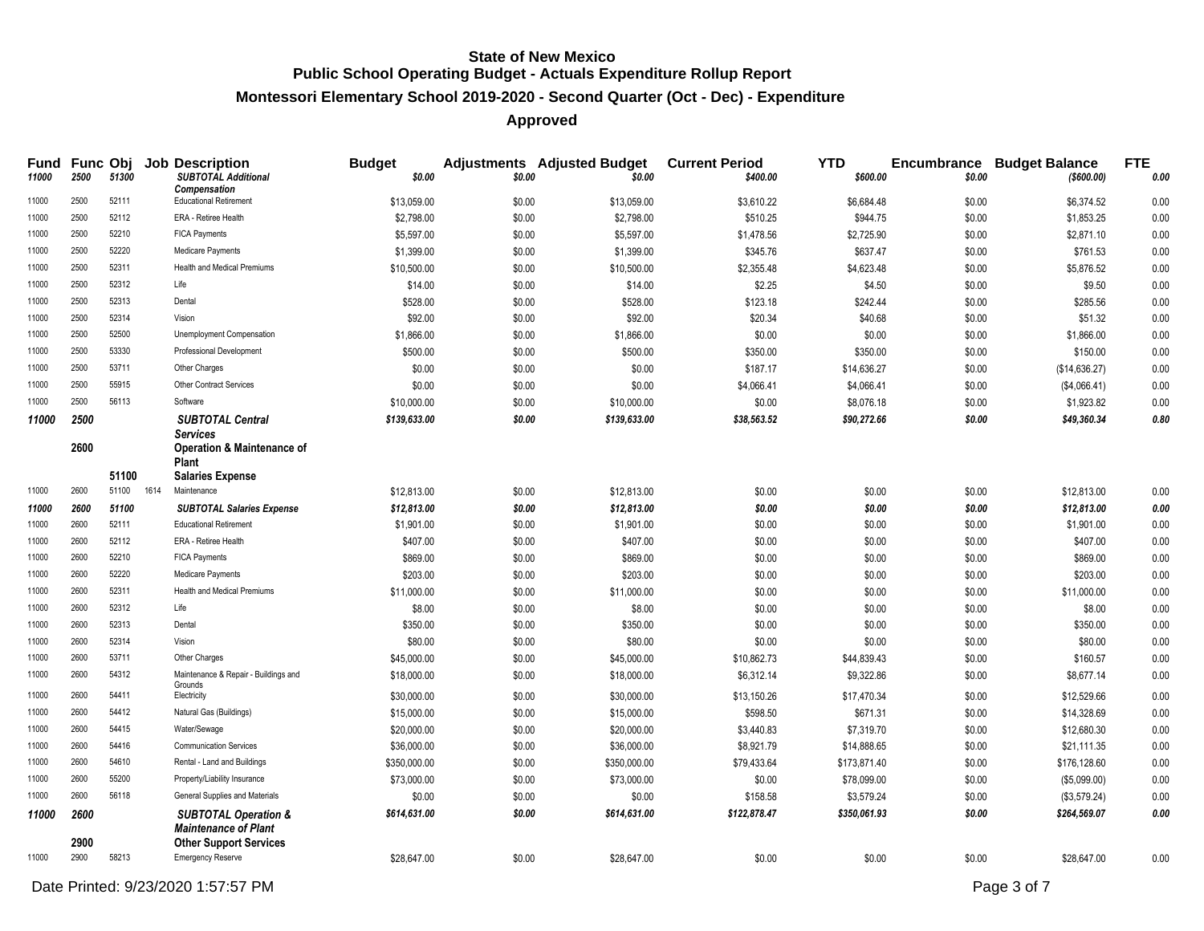#### **Montessori Elementary School 2019-2020 - Second Quarter (Oct - Dec) - Expenditure**

## **Approved**

| Fund<br>11000 | 2500         | 51300      | <b>Func Obj Job Description</b><br><b>SUBTOTAL Additional</b><br>Compensation | <b>Budget</b><br>\$0.00 | \$0.00 | <b>Adjustments</b> Adjusted Budget<br>\$0.00 | <b>Current Period</b><br>\$400.00 | <b>YTD</b><br>\$600.00 | \$0.00 | <b>Encumbrance Budget Balance</b><br>( \$600.00) | <b>FTE</b><br>0.00 |
|---------------|--------------|------------|-------------------------------------------------------------------------------|-------------------------|--------|----------------------------------------------|-----------------------------------|------------------------|--------|--------------------------------------------------|--------------------|
| 11000         | 2500         | 52111      | <b>Educational Retirement</b>                                                 | \$13,059.00             | \$0.00 | \$13,059.00                                  | \$3,610.22                        | \$6,684.48             | \$0.00 | \$6,374.52                                       | 0.00               |
| 11000         | 2500         | 52112      | ERA - Retiree Health                                                          | \$2,798.00              | \$0.00 | \$2,798.00                                   | \$510.25                          | \$944.75               | \$0.00 | \$1,853.25                                       | 0.00               |
| 11000         | 2500         | 52210      | <b>FICA Payments</b>                                                          | \$5,597.00              | \$0.00 | \$5,597.00                                   | \$1,478.56                        | \$2,725.90             | \$0.00 | \$2,871.10                                       | 0.00               |
| 11000         | 2500         | 52220      | Medicare Payments                                                             | \$1,399.00              | \$0.00 | \$1,399.00                                   | \$345.76                          | \$637.47               | \$0.00 | \$761.53                                         | 0.00               |
| 11000         | 2500         | 52311      | <b>Health and Medical Premiums</b>                                            | \$10,500.00             | \$0.00 | \$10,500.00                                  | \$2,355.48                        | \$4,623.48             | \$0.00 | \$5,876.52                                       | 0.00               |
| 11000         | 2500         | 52312      | Life                                                                          | \$14.00                 | \$0.00 | \$14.00                                      | \$2.25                            | \$4.50                 | \$0.00 | \$9.50                                           | 0.00               |
| 11000         | 2500         | 52313      | Dental                                                                        | \$528.00                | \$0.00 | \$528.00                                     | \$123.18                          | \$242.44               | \$0.00 | \$285.56                                         | 0.00               |
| 11000         | 2500         | 52314      | Vision                                                                        | \$92.00                 | \$0.00 | \$92.00                                      | \$20.34                           | \$40.68                | \$0.00 | \$51.32                                          | 0.00               |
| 11000         | 2500         | 52500      | Unemployment Compensation                                                     | \$1,866.00              | \$0.00 | \$1,866.00                                   | \$0.00                            | \$0.00                 | \$0.00 | \$1,866.00                                       | 0.00               |
| 11000         | 2500         | 53330      | Professional Development                                                      | \$500.00                | \$0.00 | \$500.00                                     | \$350.00                          | \$350.00               | \$0.00 | \$150.00                                         | 0.00               |
| 11000         | 2500         | 53711      | Other Charges                                                                 | \$0.00                  | \$0.00 | \$0.00                                       | \$187.17                          | \$14,636.27            | \$0.00 | (\$14,636.27)                                    | 0.00               |
| 11000         | 2500         | 55915      | Other Contract Services                                                       | \$0.00                  | \$0.00 | \$0.00                                       | \$4,066.41                        | \$4,066.41             | \$0.00 | (\$4,066.41)                                     | 0.00               |
| 11000         | 2500         | 56113      | Software                                                                      | \$10,000.00             | \$0.00 | \$10,000.00                                  | \$0.00                            | \$8,076.18             | \$0.00 | \$1,923.82                                       | 0.00               |
| 11000         | 2500         |            | <b>SUBTOTAL Central</b>                                                       | \$139,633.00            | \$0.00 | \$139,633.00                                 | \$38,563.52                       | \$90,272.66            | \$0.00 | \$49,360.34                                      | $\it 0.80$         |
|               | 2600         |            | <b>Services</b><br><b>Operation &amp; Maintenance of</b><br>Plant             |                         |        |                                              |                                   |                        |        |                                                  |                    |
|               |              | 51100      | <b>Salaries Expense</b>                                                       |                         |        |                                              |                                   |                        |        |                                                  |                    |
| 11000         | 2600         | 51100 1614 | Maintenance                                                                   | \$12,813.00             | \$0.00 | \$12,813.00                                  | \$0.00                            | \$0.00                 | \$0.00 | \$12,813.00                                      | 0.00               |
| 11000         | 2600         | 51100      | <b>SUBTOTAL Salaries Expense</b>                                              | \$12,813.00             | \$0.00 | \$12,813.00                                  | \$0.00                            | \$0.00                 | \$0.00 | \$12,813.00                                      | 0.00               |
| 11000         | 2600         | 52111      | <b>Educational Retirement</b>                                                 | \$1,901.00              | \$0.00 | \$1,901.00                                   | \$0.00                            | \$0.00                 | \$0.00 | \$1,901.00                                       | 0.00               |
| 11000         | 2600         | 52112      | ERA - Retiree Health                                                          | \$407.00                | \$0.00 | \$407.00                                     | \$0.00                            | \$0.00                 | \$0.00 | \$407.00                                         | 0.00               |
| 11000         | 2600         | 52210      | <b>FICA Payments</b>                                                          | \$869.00                | \$0.00 | \$869.00                                     | \$0.00                            | \$0.00                 | \$0.00 | \$869.00                                         | 0.00               |
| 11000         | 2600         | 52220      | Medicare Payments                                                             | \$203.00                | \$0.00 | \$203.00                                     | \$0.00                            | \$0.00                 | \$0.00 | \$203.00                                         | 0.00               |
| 11000         | 2600         | 52311      | <b>Health and Medical Premiums</b>                                            | \$11,000.00             | \$0.00 | \$11,000.00                                  | \$0.00                            | \$0.00                 | \$0.00 | \$11,000.00                                      | 0.00               |
| 11000         | 2600         | 52312      | Life                                                                          | \$8.00                  | \$0.00 | \$8.00                                       | \$0.00                            | \$0.00                 | \$0.00 | \$8.00                                           | 0.00               |
| 11000         | 2600         | 52313      | Dental                                                                        | \$350.00                | \$0.00 | \$350.00                                     | \$0.00                            | \$0.00                 | \$0.00 | \$350.00                                         | 0.00               |
| 11000         | 2600         | 52314      | Vision                                                                        | \$80.00                 | \$0.00 | \$80.00                                      | \$0.00                            | \$0.00                 | \$0.00 | \$80.00                                          | $0.00\,$           |
| 11000         | 2600         | 53711      | Other Charges                                                                 | \$45,000.00             | \$0.00 | \$45,000.00                                  | \$10,862.73                       | \$44,839.43            | \$0.00 | \$160.57                                         | 0.00               |
| 11000         | 2600         | 54312      | Maintenance & Repair - Buildings and<br>Grounds                               | \$18,000.00             | \$0.00 | \$18,000.00                                  | \$6,312.14                        | \$9,322.86             | \$0.00 | \$8,677.14                                       | 0.00               |
| 11000         | 2600         | 54411      | Electricity                                                                   | \$30,000.00             | \$0.00 | \$30,000.00                                  | \$13,150.26                       | \$17,470.34            | \$0.00 | \$12,529.66                                      | 0.00               |
| 11000         | 2600         | 54412      | Natural Gas (Buildings)                                                       | \$15,000.00             | \$0.00 | \$15,000.00                                  | \$598.50                          | \$671.31               | \$0.00 | \$14,328.69                                      | 0.00               |
| 11000         | 2600         | 54415      | Water/Sewage                                                                  | \$20,000.00             | \$0.00 | \$20,000.00                                  | \$3,440.83                        | \$7,319.70             | \$0.00 | \$12,680.30                                      | 0.00               |
| 11000         | 2600         | 54416      | <b>Communication Services</b>                                                 | \$36,000.00             | \$0.00 | \$36,000.00                                  | \$8,921.79                        | \$14,888.65            | \$0.00 | \$21,111.35                                      | 0.00               |
| 11000         | 2600         | 54610      | Rental - Land and Buildings                                                   | \$350,000.00            | \$0.00 | \$350,000.00                                 | \$79,433.64                       | \$173,871.40           | \$0.00 | \$176,128.60                                     | 0.00               |
| 11000         | 2600         | 55200      | Property/Liability Insurance                                                  | \$73,000.00             | \$0.00 | \$73,000.00                                  | \$0.00                            | \$78,099.00            | \$0.00 | (\$5,099.00)                                     | 0.00               |
| 11000         | 2600         | 56118      | General Supplies and Materials                                                | \$0.00                  | \$0.00 | \$0.00                                       | \$158.58                          | \$3,579.24             | \$0.00 | (\$3,579.24)                                     | 0.00               |
| 11000         | 2600         |            | <b>SUBTOTAL Operation &amp;</b><br><b>Maintenance of Plant</b>                | \$614,631.00            | \$0.00 | \$614,631.00                                 | \$122,878.47                      | \$350,061.93           | \$0.00 | \$264,569.07                                     | 0.00               |
| 11000         | 2900<br>2900 | 58213      | <b>Other Support Services</b><br><b>Emergency Reserve</b>                     | \$28,647.00             | \$0.00 | \$28,647.00                                  | \$0.00                            | \$0.00                 | \$0.00 | \$28,647.00                                      | 0.00               |

Date Printed:  $9/23/2020$  1:57:57 PM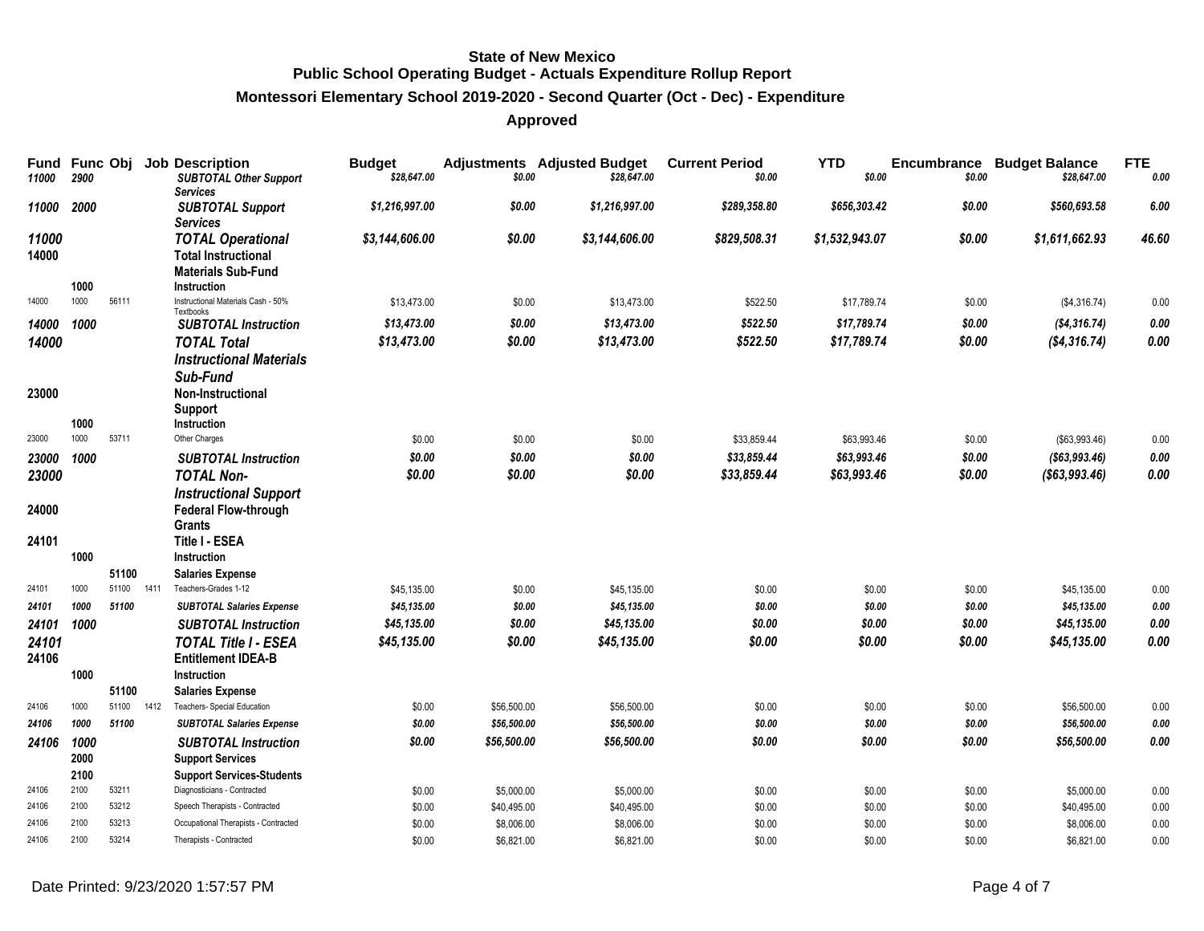#### **Montessori Elementary School 2019-2020 - Second Quarter (Oct - Dec) - Expenditure**

| Fund<br>11000  | Func Obj<br>2900 |       |      | <b>Job Description</b><br><b>SUBTOTAL Other Support</b><br>Services                                | <b>Budget</b><br>\$28,647.00 | \$0.00                    | <b>Adjustments</b> Adjusted Budget<br>\$28,647.00 | <b>Current Period</b><br>\$0.00 | <b>YTD</b><br>\$0.00 | Encumbrance<br>\$0.00 | <b>Budget Balance</b><br>\$28,647.00 | <b>FTE</b><br>0.00 |
|----------------|------------------|-------|------|----------------------------------------------------------------------------------------------------|------------------------------|---------------------------|---------------------------------------------------|---------------------------------|----------------------|-----------------------|--------------------------------------|--------------------|
| 11000          | 2000             |       |      | <b>SUBTOTAL Support</b><br><b>Services</b>                                                         | \$1,216,997.00               | \$0.00                    | \$1,216,997.00                                    | \$289,358.80                    | \$656,303.42         | \$0.00                | \$560,693.58                         | 6.00               |
| 11000<br>14000 | 1000             |       |      | <b>TOTAL Operational</b><br><b>Total Instructional</b><br><b>Materials Sub-Fund</b><br>Instruction | \$3,144,606.00               | \$0.00                    | \$3,144,606.00                                    | \$829,508.31                    | \$1,532,943.07       | \$0.00                | \$1,611,662.93                       | 46.60              |
| 14000          | 1000             | 56111 |      | Instructional Materials Cash - 50%                                                                 | \$13,473.00                  | \$0.00                    | \$13,473.00                                       | \$522.50                        | \$17,789.74          | \$0.00                | (\$4,316.74)                         | 0.00               |
| 14000          | 1000             |       |      | Textbooks<br><b>SUBTOTAL Instruction</b>                                                           | \$13,473.00                  | \$0.00                    | \$13,473.00                                       | \$522.50                        | \$17,789.74          | \$0.00                | ( \$4, 316.74)                       | 0.00               |
| 14000          |                  |       |      | <b>TOTAL Total</b>                                                                                 | \$13,473.00                  | \$0.00                    | \$13,473.00                                       | \$522.50                        | \$17,789.74          | \$0.00                | (S4, 316.74)                         | 0.00               |
| 23000          |                  |       |      | <b>Instructional Materials</b><br>Sub-Fund<br><b>Non-Instructional</b>                             |                              |                           |                                                   |                                 |                      |                       |                                      |                    |
|                |                  |       |      | <b>Support</b>                                                                                     |                              |                           |                                                   |                                 |                      |                       |                                      |                    |
| 23000          | 1000<br>1000     | 53711 |      | Instruction<br>Other Charges                                                                       | \$0.00                       | \$0.00                    | \$0.00                                            | \$33,859.44                     | \$63,993.46          | \$0.00                | (\$63,993.46)                        | 0.00               |
| 23000          | 1000             |       |      | <b>SUBTOTAL Instruction</b>                                                                        | \$0.00                       | \$0.00                    | \$0.00                                            | \$33,859.44                     | \$63,993.46          | \$0.00                | ( \$63, 993.46)                      | 0.00               |
| 23000          |                  |       |      | <b>TOTAL Non-</b>                                                                                  | \$0.00                       | \$0.00                    | \$0.00                                            | \$33,859.44                     | \$63,993.46          | \$0.00                | ( \$63, 993.46)                      | 0.00               |
| 24000          |                  |       |      | <b>Instructional Support</b><br>Federal Flow-through<br>Grants                                     |                              |                           |                                                   |                                 |                      |                       |                                      |                    |
| 24101          | 1000             | 51100 |      | Title I - ESEA<br>Instruction<br><b>Salaries Expense</b>                                           |                              |                           |                                                   |                                 |                      |                       |                                      |                    |
| 24101          | 1000             | 51100 | 1411 | Teachers-Grades 1-12                                                                               | \$45,135.00                  | \$0.00                    | \$45,135.00                                       | \$0.00                          | \$0.00               | \$0.00                | \$45,135.00                          | 0.00               |
| 24101          | 1000             | 51100 |      | <b>SUBTOTAL Salaries Expense</b>                                                                   | \$45,135.00                  | \$0.00                    | \$45,135.00                                       | \$0.00                          | \$0.00               | \$0.00                | \$45,135.00                          | 0.00               |
| 24101          | 1000             |       |      | <b>SUBTOTAL Instruction</b>                                                                        | \$45,135.00                  | \$0.00                    | \$45,135.00                                       | \$0.00                          | \$0.00               | \$0.00                | \$45,135.00                          | 0.00               |
| 24101          |                  |       |      | <b>TOTAL Title I - ESEA</b>                                                                        | \$45,135.00                  | \$0.00                    | \$45,135.00                                       | \$0.00                          | \$0.00               | \$0.00                | \$45,135.00                          | 0.00               |
| 24106          |                  |       |      | <b>Entitlement IDEA-B</b>                                                                          |                              |                           |                                                   |                                 |                      |                       |                                      |                    |
|                | 1000             |       |      | Instruction                                                                                        |                              |                           |                                                   |                                 |                      |                       |                                      |                    |
|                |                  | 51100 |      | <b>Salaries Expense</b>                                                                            |                              |                           |                                                   |                                 |                      |                       |                                      |                    |
| 24106          | 1000             | 51100 | 1412 | Teachers- Special Education                                                                        | \$0.00                       | \$56,500.00               | \$56,500.00                                       | \$0.00                          | \$0.00               | \$0.00                | \$56,500.00                          | 0.00               |
| 24106          | 1000             | 51100 |      | <b>SUBTOTAL Salaries Expense</b>                                                                   | \$0.00                       | \$56,500.00               | \$56,500.00                                       | \$0.00                          | \$0.00               | \$0.00                | \$56,500.00                          | 0.00               |
| 24106          | 1000<br>2000     |       |      | <b>SUBTOTAL Instruction</b><br><b>Support Services</b>                                             | \$0.00                       | \$56,500.00               | \$56,500.00                                       | \$0.00                          | \$0.00               | \$0.00                | \$56,500.00                          | $0.00\,$           |
| 24106          | 2100<br>2100     | 53211 |      | <b>Support Services-Students</b><br>Diagnosticians - Contracted                                    |                              |                           |                                                   |                                 |                      |                       |                                      |                    |
| 24106          | 2100             | 53212 |      | Speech Therapists - Contracted                                                                     | \$0.00<br>\$0.00             | \$5,000.00<br>\$40,495.00 | \$5,000.00<br>\$40,495.00                         | \$0.00<br>\$0.00                | \$0.00<br>\$0.00     | \$0.00<br>\$0.00      | \$5,000.00<br>\$40,495.00            | 0.00<br>0.00       |
| 24106          | 2100             | 53213 |      | Occupational Therapists - Contracted                                                               | \$0.00                       | \$8,006.00                | \$8,006.00                                        | \$0.00                          | \$0.00               | \$0.00                | \$8,006.00                           | 0.00               |
| 24106          | 2100             | 53214 |      | Therapists - Contracted                                                                            | \$0.00                       | \$6.821.00                | \$6.821.00                                        | \$0.00                          | \$0.00               | \$0.00                | \$6.821.00                           | 0.00               |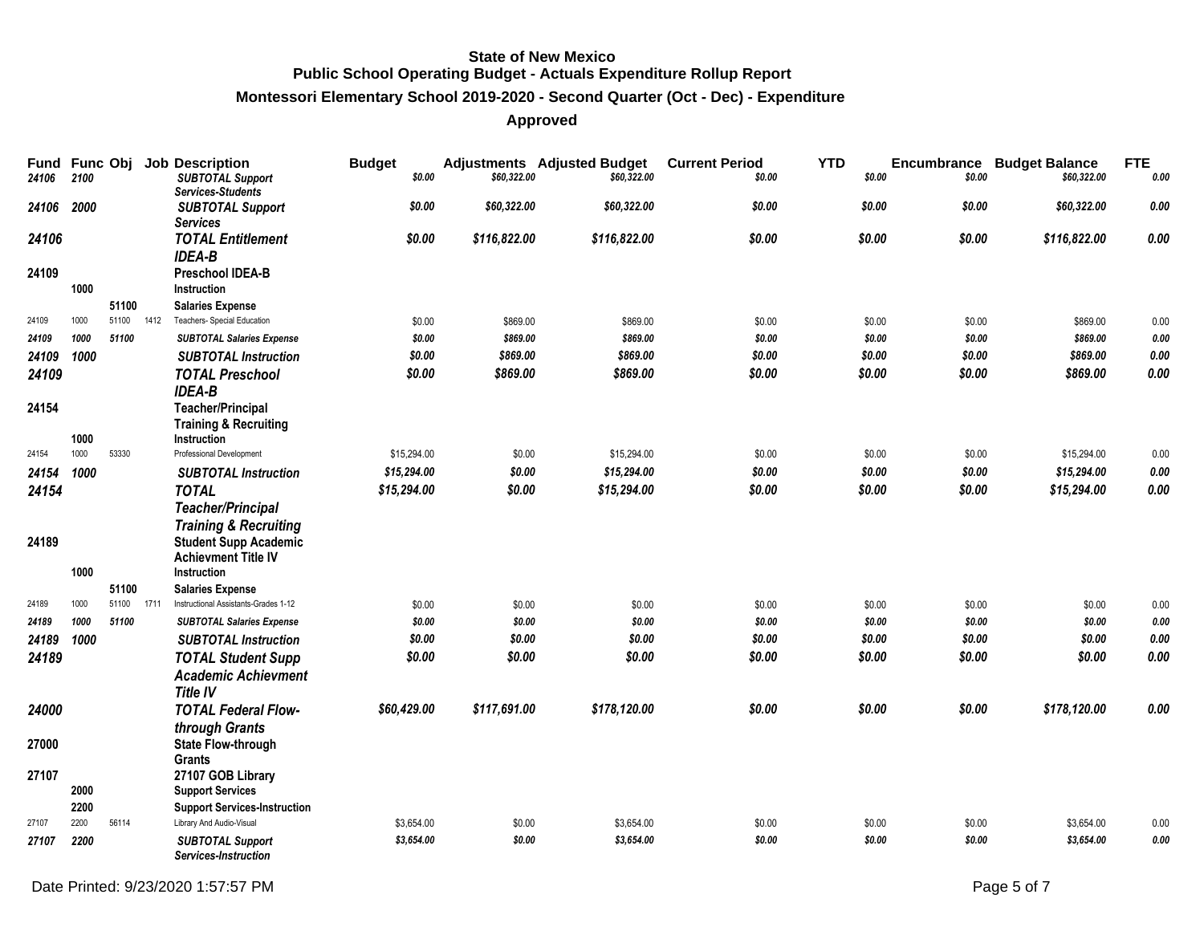#### **Montessori Elementary School 2019-2020 - Second Quarter (Oct - Dec) - Expenditure**

| Fund<br>24106 | <b>Func Obj</b><br>2100 |       |      | <b>Job Description</b><br><b>SUBTOTAL Support</b><br><b>Services-Students</b>      | <b>Budget</b><br>\$0.00 | \$60,322.00  | <b>Adjustments</b> Adjusted Budget<br>\$60,322.00 | <b>Current Period</b><br>\$0.00 | <b>YTD</b><br>\$0.00 | Encumbrance<br>\$0.00 | <b>Budget Balance</b><br>\$60,322.00 | <b>FTE</b><br>0.00 |
|---------------|-------------------------|-------|------|------------------------------------------------------------------------------------|-------------------------|--------------|---------------------------------------------------|---------------------------------|----------------------|-----------------------|--------------------------------------|--------------------|
| 24106         | 2000                    |       |      | <b>SUBTOTAL Support</b><br><b>Services</b>                                         | \$0.00                  | \$60,322.00  | \$60,322.00                                       | \$0.00                          | \$0.00               | \$0.00                | \$60,322.00                          | 0.00               |
| 24106         |                         |       |      | <b>TOTAL Entitlement</b><br><b>IDEA-B</b>                                          | \$0.00                  | \$116,822.00 | \$116,822.00                                      | \$0.00                          | \$0.00               | \$0.00                | \$116,822.00                         | 0.00               |
| 24109         | 1000                    |       |      | <b>Preschool IDEA-B</b><br>Instruction                                             |                         |              |                                                   |                                 |                      |                       |                                      |                    |
|               |                         | 51100 |      | <b>Salaries Expense</b>                                                            |                         |              |                                                   |                                 |                      |                       |                                      |                    |
| 24109         | 1000                    | 51100 | 1412 | Teachers- Special Education                                                        | \$0.00                  | \$869.00     | \$869.00                                          | \$0.00                          | \$0.00               | \$0.00                | \$869.00                             | 0.00               |
| 24109         | 1000                    | 51100 |      | <b>SUBTOTAL Salaries Expense</b>                                                   | \$0.00                  | \$869.00     | \$869.00                                          | \$0.00                          | \$0.00               | \$0.00                | \$869.00                             | $\it{0.00}$        |
| 24109         | 1000                    |       |      | <b>SUBTOTAL Instruction</b>                                                        | \$0.00                  | \$869.00     | \$869.00                                          | \$0.00                          | \$0.00               | \$0.00                | \$869.00                             | $0.00\,$           |
| 24109         |                         |       |      | <b>TOTAL Preschool</b><br><b>IDEA-B</b>                                            | \$0.00                  | \$869.00     | \$869.00                                          | \$0.00                          | \$0.00               | \$0.00                | \$869.00                             | 0.00               |
| 24154         | 1000                    |       |      | <b>Teacher/Principal</b><br><b>Training &amp; Recruiting</b><br><b>Instruction</b> |                         |              |                                                   |                                 |                      |                       |                                      |                    |
| 24154         | 1000                    | 53330 |      | Professional Development                                                           | \$15,294.00             | \$0.00       | \$15,294.00                                       | \$0.00                          | \$0.00               | \$0.00                | \$15,294.00                          | 0.00               |
| 24154         | 1000                    |       |      | <b>SUBTOTAL Instruction</b>                                                        | \$15,294.00             | \$0.00       | \$15,294.00                                       | \$0.00                          | \$0.00               | \$0.00                | \$15,294.00                          | 0.00               |
| 24154         |                         |       |      | <b>TOTAL</b>                                                                       | \$15,294.00             | \$0.00       | \$15,294.00                                       | \$0.00                          | \$0.00               | \$0.00                | \$15,294.00                          | 0.00               |
|               |                         |       |      | <b>Teacher/Principal</b>                                                           |                         |              |                                                   |                                 |                      |                       |                                      |                    |
|               |                         |       |      | <b>Training &amp; Recruiting</b>                                                   |                         |              |                                                   |                                 |                      |                       |                                      |                    |
| 24189         |                         |       |      | <b>Student Supp Academic</b>                                                       |                         |              |                                                   |                                 |                      |                       |                                      |                    |
|               |                         |       |      | <b>Achievment Title IV</b>                                                         |                         |              |                                                   |                                 |                      |                       |                                      |                    |
|               | 1000                    |       |      | Instruction                                                                        |                         |              |                                                   |                                 |                      |                       |                                      |                    |
|               |                         | 51100 |      | <b>Salaries Expense</b>                                                            |                         |              |                                                   |                                 |                      |                       |                                      |                    |
| 24189         | 1000                    | 51100 | 1711 | Instructional Assistants-Grades 1-12                                               | \$0.00                  | \$0.00       | \$0.00                                            | \$0.00                          | \$0.00               | \$0.00                | \$0.00                               | 0.00               |
| 24189         | 1000                    | 51100 |      | <b>SUBTOTAL Salaries Expense</b>                                                   | \$0.00                  | \$0.00       | \$0.00                                            | \$0.00                          | \$0.00               | \$0.00                | \$0.00                               | 0.00               |
| 24189         | 1000                    |       |      | <b>SUBTOTAL Instruction</b>                                                        | \$0.00                  | \$0.00       | \$0.00                                            | \$0.00                          | \$0.00               | \$0.00                | \$0.00                               | $\it{0.00}$        |
| 24189         |                         |       |      | <b>TOTAL Student Supp</b>                                                          | \$0.00                  | \$0.00       | \$0.00                                            | \$0.00                          | \$0.00               | \$0.00                | \$0.00                               | 0.00               |
|               |                         |       |      | <b>Academic Achievment</b>                                                         |                         |              |                                                   |                                 |                      |                       |                                      |                    |
|               |                         |       |      | <b>Title IV</b>                                                                    |                         |              |                                                   |                                 |                      |                       |                                      |                    |
| 24000         |                         |       |      | <b>TOTAL Federal Flow-</b>                                                         | \$60,429.00             | \$117,691.00 | \$178,120.00                                      | \$0.00                          | \$0.00               | \$0.00                | \$178,120.00                         | 0.00               |
|               |                         |       |      | through Grants                                                                     |                         |              |                                                   |                                 |                      |                       |                                      |                    |
| 27000         |                         |       |      | <b>State Flow-through</b>                                                          |                         |              |                                                   |                                 |                      |                       |                                      |                    |
|               |                         |       |      | Grants                                                                             |                         |              |                                                   |                                 |                      |                       |                                      |                    |
| 27107         |                         |       |      | 27107 GOB Library                                                                  |                         |              |                                                   |                                 |                      |                       |                                      |                    |
|               | 2000                    |       |      | <b>Support Services</b>                                                            |                         |              |                                                   |                                 |                      |                       |                                      |                    |
|               | 2200<br>2200            | 56114 |      | <b>Support Services-Instruction</b>                                                |                         |              |                                                   |                                 |                      |                       |                                      |                    |
| 27107         |                         |       |      | Library And Audio-Visual                                                           | \$3,654.00              | \$0.00       | \$3,654.00                                        | \$0.00                          | \$0.00               | \$0.00                | \$3,654.00                           | 0.00               |
| 27107         | 2200                    |       |      | <b>SUBTOTAL Support</b><br>Services-Instruction                                    | \$3,654.00              | \$0.00       | \$3,654.00                                        | \$0.00                          | \$0.00               | \$0.00                | \$3,654.00                           | 0.00               |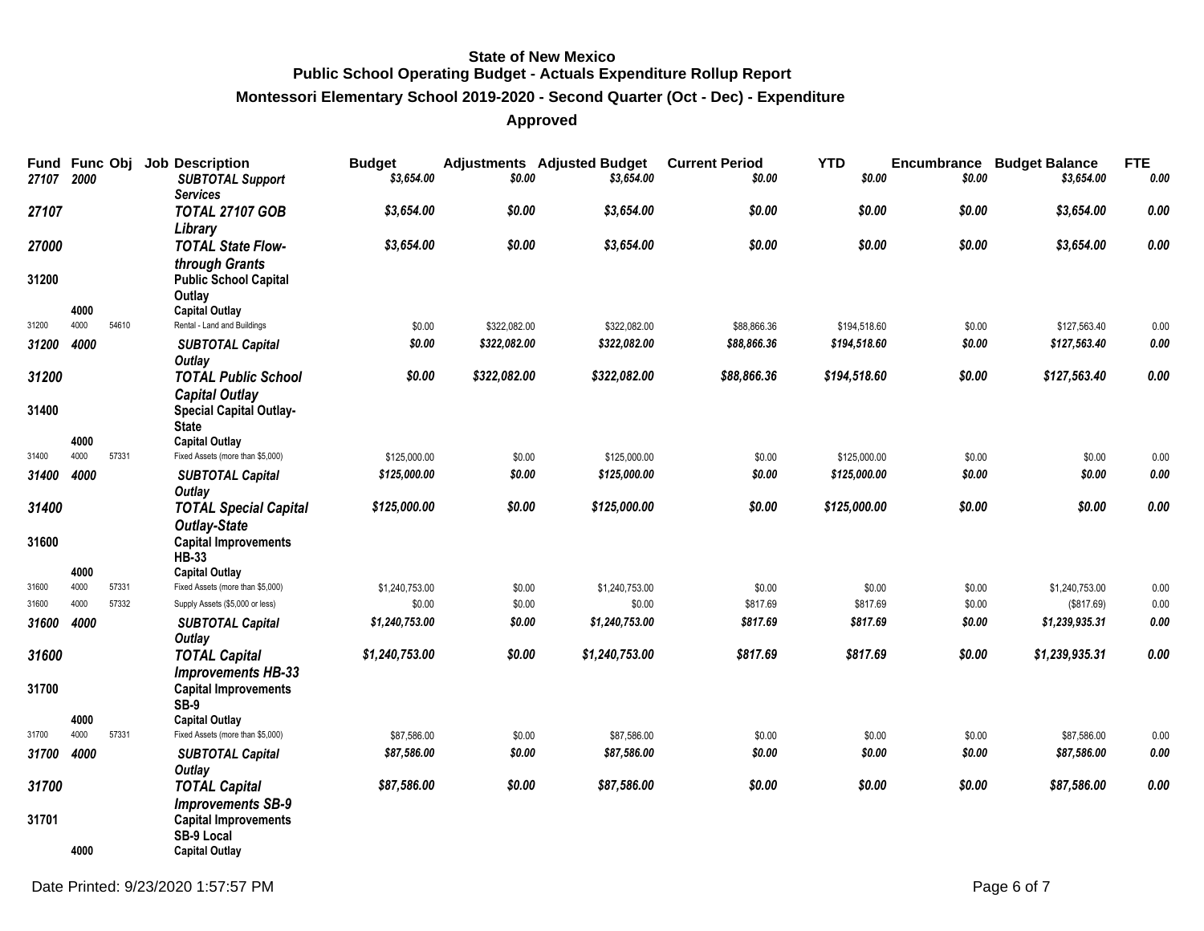#### **Montessori Elementary School 2019-2020 - Second Quarter (Oct - Dec) - Expenditure**

| Fund Func Obj<br>27107 | 2000 |       | <b>Job Description</b><br><b>SUBTOTAL Support</b>               | <b>Budget</b><br>\$3,654.00 | \$0.00       | <b>Adjustments</b> Adjusted Budget<br>\$3,654.00 | <b>Current Period</b><br>\$0.00 | <b>YTD</b><br>\$0.00 | \$0.00 | <b>Encumbrance Budget Balance</b><br>\$3,654.00 | <b>FTE</b><br>$0.00\,$ |
|------------------------|------|-------|-----------------------------------------------------------------|-----------------------------|--------------|--------------------------------------------------|---------------------------------|----------------------|--------|-------------------------------------------------|------------------------|
| 27107                  |      |       | <b>Services</b><br><b>TOTAL 27107 GOB</b>                       | \$3,654.00                  | \$0.00       | \$3,654.00                                       | \$0.00                          | \$0.00               | \$0.00 | \$3,654.00                                      | 0.00                   |
| 27000                  |      |       | Library<br><b>TOTAL State Flow-</b><br>through Grants           | \$3,654.00                  | \$0.00       | \$3,654.00                                       | \$0.00                          | \$0.00               | \$0.00 | \$3,654.00                                      | $0.00\,$               |
| 31200                  | 4000 |       | <b>Public School Capital</b><br>Outlay<br><b>Capital Outlay</b> |                             |              |                                                  |                                 |                      |        |                                                 |                        |
| 31200                  | 4000 | 54610 | Rental - Land and Buildings                                     | \$0.00                      | \$322,082.00 | \$322,082.00                                     | \$88,866.36                     | \$194,518.60         | \$0.00 | \$127,563.40                                    | 0.00                   |
| 31200                  | 4000 |       | <b>SUBTOTAL Capital</b><br><b>Outlay</b>                        | \$0.00                      | \$322,082.00 | \$322,082.00                                     | \$88,866.36                     | \$194,518.60         | \$0.00 | \$127,563.40                                    | $0.00\,$               |
| 31200                  |      |       | <b>TOTAL Public School</b><br><b>Capital Outlay</b>             | \$0.00                      | \$322,082.00 | \$322,082.00                                     | \$88,866.36                     | \$194,518.60         | \$0.00 | \$127,563.40                                    | 0.00                   |
| 31400                  |      |       | <b>Special Capital Outlay-</b><br><b>State</b>                  |                             |              |                                                  |                                 |                      |        |                                                 |                        |
|                        | 4000 |       | <b>Capital Outlay</b>                                           |                             |              |                                                  |                                 |                      |        |                                                 |                        |
| 31400                  | 4000 | 57331 | Fixed Assets (more than \$5,000)                                | \$125,000.00                | \$0.00       | \$125,000.00                                     | \$0.00                          | \$125,000.00         | \$0.00 | \$0.00                                          | 0.00                   |
| 31400                  | 4000 |       | <b>SUBTOTAL Capital</b><br><b>Outlay</b>                        | \$125,000.00                | \$0.00       | \$125,000.00                                     | \$0.00                          | \$125,000.00         | \$0.00 | \$0.00                                          | $0.00\,$               |
| 31400                  |      |       | <b>TOTAL Special Capital</b>                                    | \$125,000.00                | \$0.00       | \$125,000.00                                     | \$0.00                          | \$125,000.00         | \$0.00 | \$0.00                                          | 0.00                   |
|                        |      |       | <b>Outlay-State</b>                                             |                             |              |                                                  |                                 |                      |        |                                                 |                        |
| 31600                  |      |       | <b>Capital Improvements</b><br><b>HB-33</b>                     |                             |              |                                                  |                                 |                      |        |                                                 |                        |
|                        | 4000 |       | <b>Capital Outlay</b>                                           |                             |              |                                                  |                                 |                      |        |                                                 |                        |
| 31600                  | 4000 | 57331 | Fixed Assets (more than \$5,000)                                | \$1,240,753.00              | \$0.00       | \$1,240,753.00                                   | \$0.00                          | \$0.00               | \$0.00 | \$1,240,753.00                                  | 0.00                   |
| 31600                  | 4000 | 57332 | Supply Assets (\$5,000 or less)                                 | \$0.00                      | \$0.00       | \$0.00                                           | \$817.69                        | \$817.69             | \$0.00 | (\$817.69)                                      | 0.00                   |
| 31600                  | 4000 |       | <b>SUBTOTAL Capital</b><br><b>Outlay</b>                        | \$1,240,753.00              | \$0.00       | \$1,240,753.00                                   | \$817.69                        | \$817.69             | \$0.00 | \$1,239,935.31                                  | $\it{0.00}$            |
| 31600                  |      |       | <b>TOTAL Capital</b>                                            | \$1,240,753.00              | \$0.00       | \$1,240,753.00                                   | \$817.69                        | \$817.69             | \$0.00 | \$1,239,935.31                                  | 0.00                   |
|                        |      |       | <b>Improvements HB-33</b>                                       |                             |              |                                                  |                                 |                      |        |                                                 |                        |
| 31700                  |      |       | <b>Capital Improvements</b><br><b>SB-9</b>                      |                             |              |                                                  |                                 |                      |        |                                                 |                        |
|                        | 4000 |       | <b>Capital Outlay</b>                                           |                             |              |                                                  |                                 |                      |        |                                                 |                        |
| 31700                  | 4000 | 57331 | Fixed Assets (more than \$5,000)                                | \$87,586.00                 | \$0.00       | \$87,586.00                                      | \$0.00                          | \$0.00               | \$0.00 | \$87,586.00                                     | 0.00                   |
| 31700                  | 4000 |       | <b>SUBTOTAL Capital</b><br><b>Outlay</b>                        | \$87,586.00                 | \$0.00       | \$87,586.00                                      | \$0.00                          | \$0.00               | \$0.00 | \$87,586.00                                     | $\it{0.00}$            |
| 31700                  |      |       | <b>TOTAL Capital</b><br><b>Improvements SB-9</b>                | \$87,586.00                 | \$0.00       | \$87,586.00                                      | \$0.00                          | \$0.00               | \$0.00 | \$87,586.00                                     | $\pmb{0.00}$           |
| 31701                  |      |       | <b>Capital Improvements</b><br><b>SB-9 Local</b>                |                             |              |                                                  |                                 |                      |        |                                                 |                        |
|                        | 4000 |       | <b>Capital Outlay</b>                                           |                             |              |                                                  |                                 |                      |        |                                                 |                        |